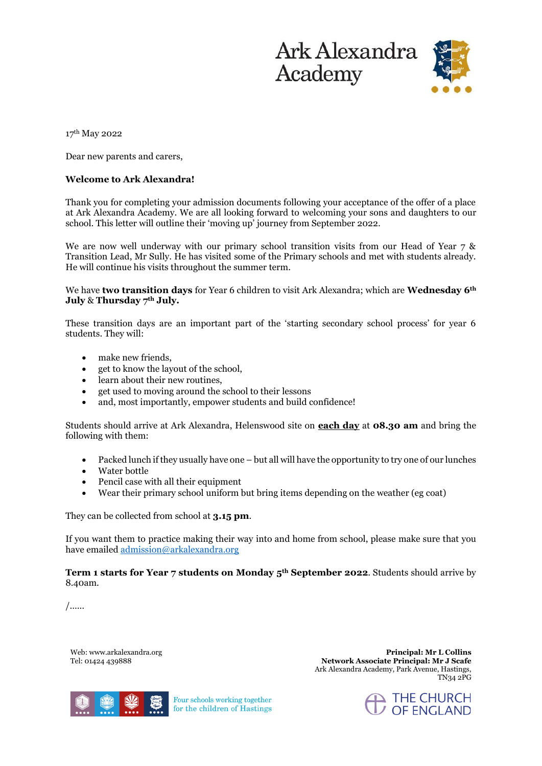

17th May 2022

Dear new parents and carers,

## **Welcome to Ark Alexandra!**

Thank you for completing your admission documents following your acceptance of the offer of a place at Ark Alexandra Academy. We are all looking forward to welcoming your sons and daughters to our school. This letter will outline their 'moving up' journey from September 2022.

We are now well underway with our primary school transition visits from our Head of Year 7 & Transition Lead, Mr Sully. He has visited some of the Primary schools and met with students already. He will continue his visits throughout the summer term.

We have **two transition days** for Year 6 children to visit Ark Alexandra; which are **Wednesday 6th July** & **Thursday 7th July.**

These transition days are an important part of the 'starting secondary school process' for year 6 students. They will:

- make new friends.
- get to know the layout of the school,
- learn about their new routines,
- get used to moving around the school to their lessons
- and, most importantly, empower students and build confidence!

Students should arrive at Ark Alexandra, Helenswood site on **each day** at **08.30 am** and bring the following with them:

- Packed lunch if they usually have one but all will have the opportunity to try one of our lunches
- Water bottle
- Pencil case with all their equipment
- Wear their primary school uniform but bring items depending on the weather (eg coat)

They can be collected from school at **3.15 pm**.

If you want them to practice making their way into and home from school, please make sure that you have emaile[d admission@arkalexandra.org](mailto:admission@arkalexandra.org)

**Term 1 starts for Year 7 students on Monday 5th September 2022**. Students should arrive by 8.40am.

/……

Web: www.arkalexandra.org Tel: 01424 439888

**Principal: Mr L Collins Network Associate Principal: Mr J Scafe**  Ark Alexandra Academy, Park Avenue, Hastings, TN34 2PG



Four schools working together for the children of Hastings